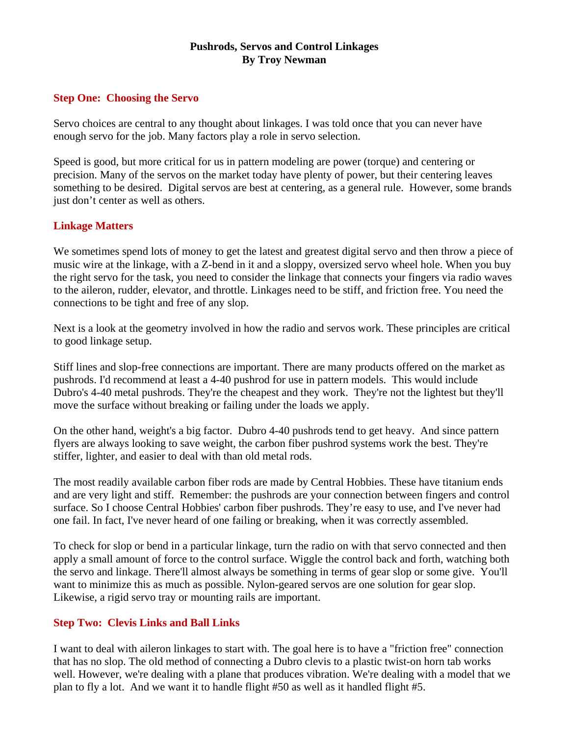## **Pushrods, Servos and Control Linkages By Troy Newman**

### **Step One: Choosing the Servo**

Servo choices are central to any thought about linkages. I was told once that you can never have enough servo for the job. Many factors play a role in servo selection.

Speed is good, but more critical for us in pattern modeling are power (torque) and centering or precision. Many of the servos on the market today have plenty of power, but their centering leaves something to be desired. Digital servos are best at centering, as a general rule. However, some brands just don't center as well as others.

### **Linkage Matters**

We sometimes spend lots of money to get the latest and greatest digital servo and then throw a piece of music wire at the linkage, with a Z-bend in it and a sloppy, oversized servo wheel hole. When you buy the right servo for the task, you need to consider the linkage that connects your fingers via radio waves to the aileron, rudder, elevator, and throttle. Linkages need to be stiff, and friction free. You need the connections to be tight and free of any slop.

Next is a look at the geometry involved in how the radio and servos work. These principles are critical to good linkage setup.

Stiff lines and slop-free connections are important. There are many products offered on the market as pushrods. I'd recommend at least a 4-40 pushrod for use in pattern models. This would include Dubro's 4-40 metal pushrods. They're the cheapest and they work. They're not the lightest but they'll move the surface without breaking or failing under the loads we apply.

On the other hand, weight's a big factor. Dubro 4-40 pushrods tend to get heavy. And since pattern flyers are always looking to save weight, the carbon fiber pushrod systems work the best. They're stiffer, lighter, and easier to deal with than old metal rods.

The most readily available carbon fiber rods are made by Central Hobbies. These have titanium ends and are very light and stiff. Remember: the pushrods are your connection between fingers and control surface. So I choose Central Hobbies' carbon fiber pushrods. They're easy to use, and I've never had one fail. In fact, I've never heard of one failing or breaking, when it was correctly assembled.

To check for slop or bend in a particular linkage, turn the radio on with that servo connected and then apply a small amount of force to the control surface. Wiggle the control back and forth, watching both the servo and linkage. There'll almost always be something in terms of gear slop or some give. You'll want to minimize this as much as possible. Nylon-geared servos are one solution for gear slop. Likewise, a rigid servo tray or mounting rails are important.

## **Step Two: Clevis Links and Ball Links**

I want to deal with aileron linkages to start with. The goal here is to have a "friction free" connection that has no slop. The old method of connecting a Dubro clevis to a plastic twist-on horn tab works well. However, we're dealing with a plane that produces vibration. We're dealing with a model that we plan to fly a lot. And we want it to handle flight #50 as well as it handled flight #5.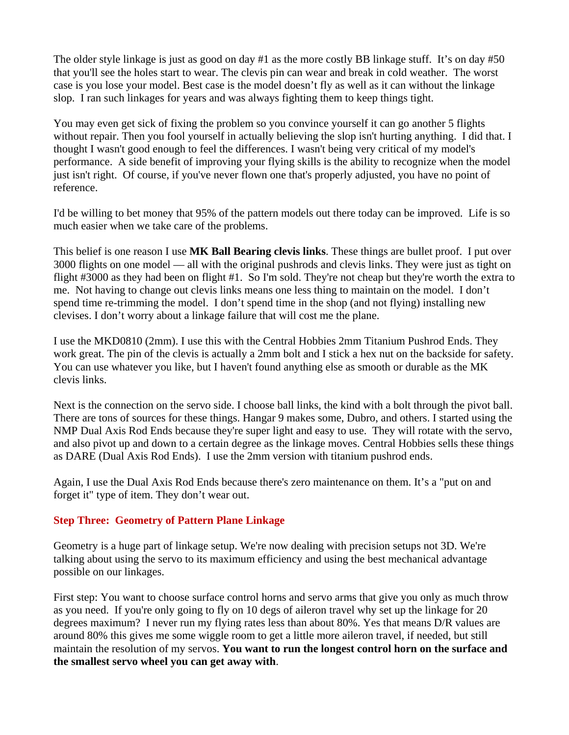The older style linkage is just as good on day #1 as the more costly BB linkage stuff. It's on day #50 that you'll see the holes start to wear. The clevis pin can wear and break in cold weather. The worst case is you lose your model. Best case is the model doesn't fly as well as it can without the linkage slop. I ran such linkages for years and was always fighting them to keep things tight.

You may even get sick of fixing the problem so you convince yourself it can go another 5 flights without repair. Then you fool yourself in actually believing the slop isn't hurting anything. I did that. I thought I wasn't good enough to feel the differences. I wasn't being very critical of my model's performance. A side benefit of improving your flying skills is the ability to recognize when the model just isn't right. Of course, if you've never flown one that's properly adjusted, you have no point of reference.

I'd be willing to bet money that 95% of the pattern models out there today can be improved. Life is so much easier when we take care of the problems.

This belief is one reason I use **MK Ball Bearing clevis links**. These things are bullet proof. I put over 3000 flights on one model — all with the original pushrods and clevis links. They were just as tight on flight #3000 as they had been on flight #1. So I'm sold. They're not cheap but they're worth the extra to me. Not having to change out clevis links means one less thing to maintain on the model. I don't spend time re-trimming the model. I don't spend time in the shop (and not flying) installing new clevises. I don't worry about a linkage failure that will cost me the plane.

I use the MKD0810 (2mm). I use this with the Central Hobbies 2mm Titanium Pushrod Ends. They work great. The pin of the clevis is actually a 2mm bolt and I stick a hex nut on the backside for safety. You can use whatever you like, but I haven't found anything else as smooth or durable as the MK clevis links.

Next is the connection on the servo side. I choose ball links, the kind with a bolt through the pivot ball. There are tons of sources for these things. Hangar 9 makes some, Dubro, and others. I started using the NMP Dual Axis Rod Ends because they're super light and easy to use. They will rotate with the servo, and also pivot up and down to a certain degree as the linkage moves. Central Hobbies sells these things as DARE (Dual Axis Rod Ends). I use the 2mm version with titanium pushrod ends.

Again, I use the Dual Axis Rod Ends because there's zero maintenance on them. It's a "put on and forget it" type of item. They don't wear out.

## **Step Three: Geometry of Pattern Plane Linkage**

Geometry is a huge part of linkage setup. We're now dealing with precision setups not 3D. We're talking about using the servo to its maximum efficiency and using the best mechanical advantage possible on our linkages.

First step: You want to choose surface control horns and servo arms that give you only as much throw as you need. If you're only going to fly on 10 degs of aileron travel why set up the linkage for 20 degrees maximum? I never run my flying rates less than about 80%. Yes that means D/R values are around 80% this gives me some wiggle room to get a little more aileron travel, if needed, but still maintain the resolution of my servos. **You want to run the longest control horn on the surface and the smallest servo wheel you can get away with**.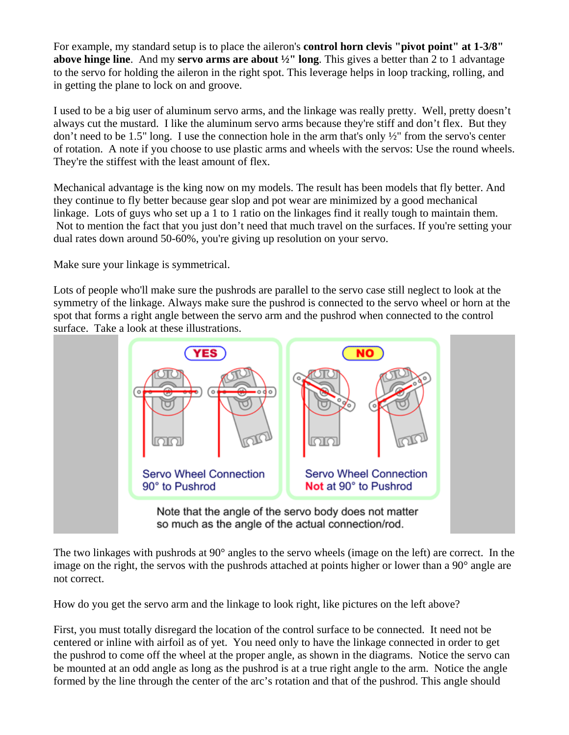For example, my standard setup is to place the aileron's **control horn clevis "pivot point" at 1-3/8" above hinge line**. And my **servo arms are about ½" long**. This gives a better than 2 to 1 advantage to the servo for holding the aileron in the right spot. This leverage helps in loop tracking, rolling, and in getting the plane to lock on and groove.

I used to be a big user of aluminum servo arms, and the linkage was really pretty. Well, pretty doesn't always cut the mustard. I like the aluminum servo arms because they're stiff and don't flex. But they don't need to be 1.5" long. I use the connection hole in the arm that's only  $\frac{1}{2}$ " from the servo's center of rotation. A note if you choose to use plastic arms and wheels with the servos: Use the round wheels. They're the stiffest with the least amount of flex.

Mechanical advantage is the king now on my models. The result has been models that fly better. And they continue to fly better because gear slop and pot wear are minimized by a good mechanical linkage. Lots of guys who set up a 1 to 1 ratio on the linkages find it really tough to maintain them. Not to mention the fact that you just don't need that much travel on the surfaces. If you're setting your dual rates down around 50-60%, you're giving up resolution on your servo.

Make sure your linkage is symmetrical.

Lots of people who'll make sure the pushrods are parallel to the servo case still neglect to look at the symmetry of the linkage. Always make sure the pushrod is connected to the servo wheel or horn at the spot that forms a right angle between the servo arm and the pushrod when connected to the control surface. Take a look at these illustrations.



The two linkages with pushrods at 90° angles to the servo wheels (image on the left) are correct. In the image on the right, the servos with the pushrods attached at points higher or lower than a 90° angle are not correct.

How do you get the servo arm and the linkage to look right, like pictures on the left above?

First, you must totally disregard the location of the control surface to be connected. It need not be centered or inline with airfoil as of yet. You need only to have the linkage connected in order to get the pushrod to come off the wheel at the proper angle, as shown in the diagrams. Notice the servo can be mounted at an odd angle as long as the pushrod is at a true right angle to the arm. Notice the angle formed by the line through the center of the arc's rotation and that of the pushrod. This angle should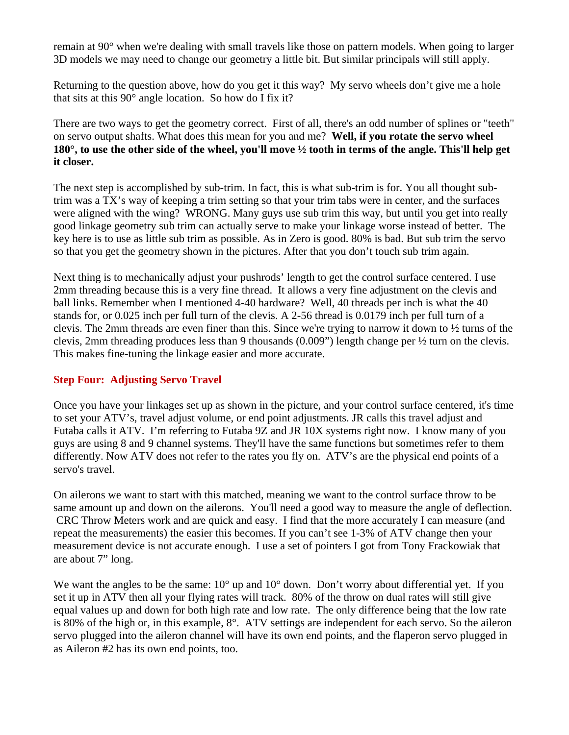remain at 90° when we're dealing with small travels like those on pattern models. When going to larger 3D models we may need to change our geometry a little bit. But similar principals will still apply.

Returning to the question above, how do you get it this way? My servo wheels don't give me a hole that sits at this 90° angle location. So how do I fix it?

There are two ways to get the geometry correct. First of all, there's an odd number of splines or "teeth" on servo output shafts. What does this mean for you and me? **Well, if you rotate the servo wheel 180°, to use the other side of the wheel, you'll move ½ tooth in terms of the angle. This'll help get it closer.**

The next step is accomplished by sub-trim. In fact, this is what sub-trim is for. You all thought subtrim was a TX's way of keeping a trim setting so that your trim tabs were in center, and the surfaces were aligned with the wing? WRONG. Many guys use sub trim this way, but until you get into really good linkage geometry sub trim can actually serve to make your linkage worse instead of better. The key here is to use as little sub trim as possible. As in Zero is good. 80% is bad. But sub trim the servo so that you get the geometry shown in the pictures. After that you don't touch sub trim again.

Next thing is to mechanically adjust your pushrods' length to get the control surface centered. I use 2mm threading because this is a very fine thread. It allows a very fine adjustment on the clevis and ball links. Remember when I mentioned 4-40 hardware? Well, 40 threads per inch is what the 40 stands for, or 0.025 inch per full turn of the clevis. A 2-56 thread is 0.0179 inch per full turn of a clevis. The 2mm threads are even finer than this. Since we're trying to narrow it down to ½ turns of the clevis, 2mm threading produces less than 9 thousands (0.009") length change per ½ turn on the clevis. This makes fine-tuning the linkage easier and more accurate.

## **Step Four: Adjusting Servo Travel**

Once you have your linkages set up as shown in the picture, and your control surface centered, it's time to set your ATV's, travel adjust volume, or end point adjustments. JR calls this travel adjust and Futaba calls it ATV. I'm referring to Futaba 9Z and JR 10X systems right now. I know many of you guys are using 8 and 9 channel systems. They'll have the same functions but sometimes refer to them differently. Now ATV does not refer to the rates you fly on. ATV's are the physical end points of a servo's travel.

On ailerons we want to start with this matched, meaning we want to the control surface throw to be same amount up and down on the ailerons. You'll need a good way to measure the angle of deflection. CRC Throw Meters work and are quick and easy. I find that the more accurately I can measure (and repeat the measurements) the easier this becomes. If you can't see 1-3% of ATV change then your measurement device is not accurate enough. I use a set of pointers I got from Tony Frackowiak that are about 7" long.

We want the angles to be the same:  $10^{\circ}$  up and  $10^{\circ}$  down. Don't worry about differential yet. If you set it up in ATV then all your flying rates will track. 80% of the throw on dual rates will still give equal values up and down for both high rate and low rate. The only difference being that the low rate is 80% of the high or, in this example, 8°. ATV settings are independent for each servo. So the aileron servo plugged into the aileron channel will have its own end points, and the flaperon servo plugged in as Aileron #2 has its own end points, too.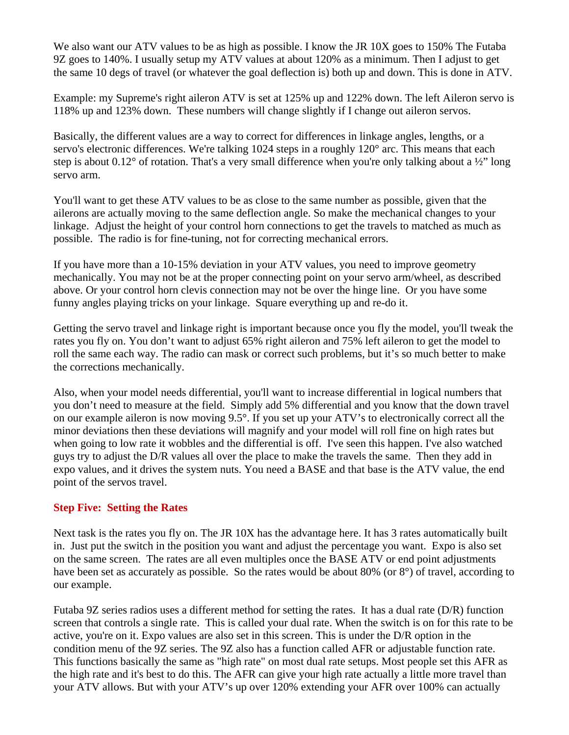We also want our ATV values to be as high as possible. I know the JR 10X goes to 150% The Futaba 9Z goes to 140%. I usually setup my ATV values at about 120% as a minimum. Then I adjust to get the same 10 degs of travel (or whatever the goal deflection is) both up and down. This is done in ATV.

Example: my Supreme's right aileron ATV is set at 125% up and 122% down. The left Aileron servo is 118% up and 123% down. These numbers will change slightly if I change out aileron servos.

Basically, the different values are a way to correct for differences in linkage angles, lengths, or a servo's electronic differences. We're talking 1024 steps in a roughly 120° arc. This means that each step is about  $0.12^{\circ}$  of rotation. That's a very small difference when you're only talking about a  $\frac{1}{2}$ " long servo arm.

You'll want to get these ATV values to be as close to the same number as possible, given that the ailerons are actually moving to the same deflection angle. So make the mechanical changes to your linkage. Adjust the height of your control horn connections to get the travels to matched as much as possible. The radio is for fine-tuning, not for correcting mechanical errors.

If you have more than a 10-15% deviation in your ATV values, you need to improve geometry mechanically. You may not be at the proper connecting point on your servo arm/wheel, as described above. Or your control horn clevis connection may not be over the hinge line. Or you have some funny angles playing tricks on your linkage. Square everything up and re-do it.

Getting the servo travel and linkage right is important because once you fly the model, you'll tweak the rates you fly on. You don't want to adjust 65% right aileron and 75% left aileron to get the model to roll the same each way. The radio can mask or correct such problems, but it's so much better to make the corrections mechanically.

Also, when your model needs differential, you'll want to increase differential in logical numbers that you don't need to measure at the field. Simply add 5% differential and you know that the down travel on our example aileron is now moving 9.5°. If you set up your ATV's to electronically correct all the minor deviations then these deviations will magnify and your model will roll fine on high rates but when going to low rate it wobbles and the differential is off. I've seen this happen. I've also watched guys try to adjust the D/R values all over the place to make the travels the same. Then they add in expo values, and it drives the system nuts. You need a BASE and that base is the ATV value, the end point of the servos travel.

## **Step Five: Setting the Rates**

Next task is the rates you fly on. The JR 10X has the advantage here. It has 3 rates automatically built in. Just put the switch in the position you want and adjust the percentage you want. Expo is also set on the same screen. The rates are all even multiples once the BASE ATV or end point adjustments have been set as accurately as possible. So the rates would be about 80% (or 8°) of travel, according to our example.

Futaba 9Z series radios uses a different method for setting the rates. It has a dual rate (D/R) function screen that controls a single rate. This is called your dual rate. When the switch is on for this rate to be active, you're on it. Expo values are also set in this screen. This is under the D/R option in the condition menu of the 9Z series. The 9Z also has a function called AFR or adjustable function rate. This functions basically the same as "high rate" on most dual rate setups. Most people set this AFR as the high rate and it's best to do this. The AFR can give your high rate actually a little more travel than your ATV allows. But with your ATV's up over 120% extending your AFR over 100% can actually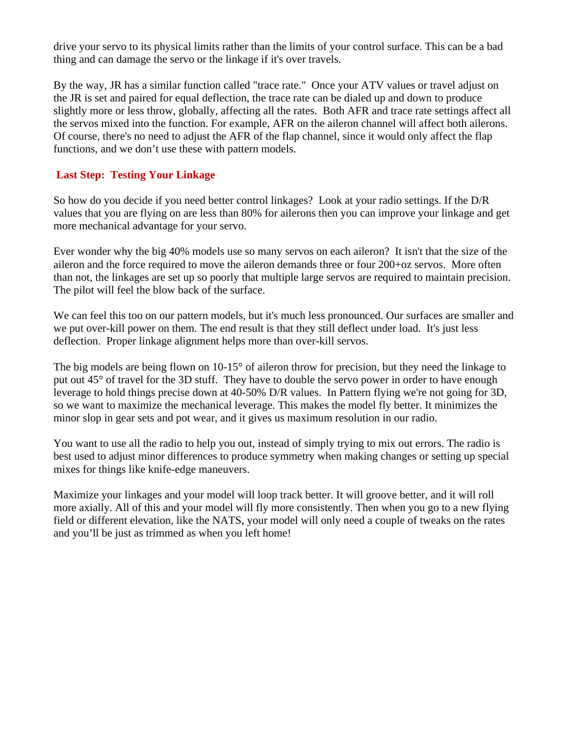drive your servo to its physical limits rather than the limits of your control surface. This can be a bad thing and can damage the servo or the linkage if it's over travels.

By the way, JR has a similar function called "trace rate." Once your ATV values or travel adjust on the JR is set and paired for equal deflection, the trace rate can be dialed up and down to produce slightly more or less throw, globally, affecting all the rates. Both AFR and trace rate settings affect all the servos mixed into the function. For example, AFR on the aileron channel will affect both ailerons. Of course, there's no need to adjust the AFR of the flap channel, since it would only affect the flap functions, and we don't use these with pattern models.

# **Last Step: Testing Your Linkage**

So how do you decide if you need better control linkages? Look at your radio settings. If the D/R values that you are flying on are less than 80% for ailerons then you can improve your linkage and get more mechanical advantage for your servo.

Ever wonder why the big 40% models use so many servos on each aileron? It isn't that the size of the aileron and the force required to move the aileron demands three or four 200+oz servos. More often than not, the linkages are set up so poorly that multiple large servos are required to maintain precision. The pilot will feel the blow back of the surface.

We can feel this too on our pattern models, but it's much less pronounced. Our surfaces are smaller and we put over-kill power on them. The end result is that they still deflect under load. It's just less deflection. Proper linkage alignment helps more than over-kill servos.

The big models are being flown on 10-15° of aileron throw for precision, but they need the linkage to put out 45° of travel for the 3D stuff. They have to double the servo power in order to have enough leverage to hold things precise down at 40-50% D/R values. In Pattern flying we're not going for 3D, so we want to maximize the mechanical leverage. This makes the model fly better. It minimizes the minor slop in gear sets and pot wear, and it gives us maximum resolution in our radio.

You want to use all the radio to help you out, instead of simply trying to mix out errors. The radio is best used to adjust minor differences to produce symmetry when making changes or setting up special mixes for things like knife-edge maneuvers.

Maximize your linkages and your model will loop track better. It will groove better, and it will roll more axially. All of this and your model will fly more consistently. Then when you go to a new flying field or different elevation, like the NATS, your model will only need a couple of tweaks on the rates and you'll be just as trimmed as when you left home!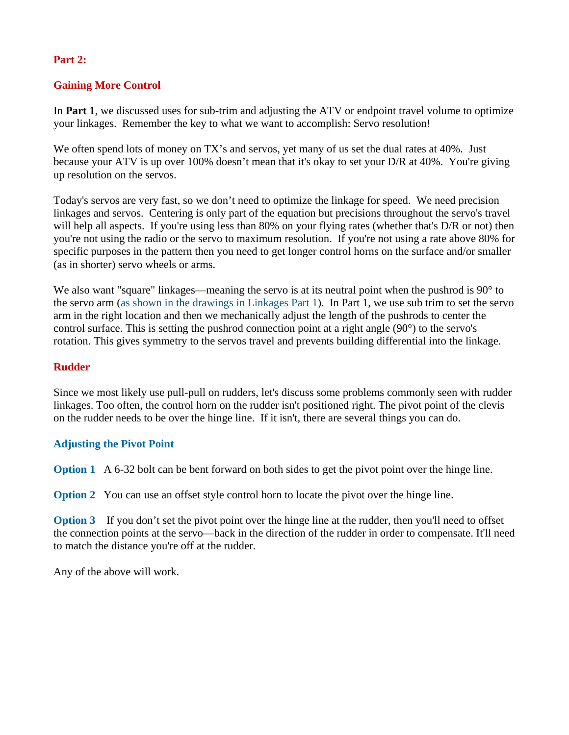### **Part 2:**

## **Gaining More Control**

In **Part 1**, we discussed uses for sub-trim and adjusting the ATV or endpoint travel volume to optimize your linkages. Remember the key to what we want to accomplish: Servo resolution!

We often spend lots of money on TX's and servos, yet many of us set the dual rates at 40%. Just because your ATV is up over 100% doesn't mean that it's okay to set your D/R at 40%. You're giving up resolution on the servos.

Today's servos are very fast, so we don't need to optimize the linkage for speed. We need precision linkages and servos. Centering is only part of the equation but precisions throughout the servo's travel will help all aspects. If you're using less than 80% on your flying rates (whether that's D/R or not) then you're not using the radio or the servo to maximum resolution. If you're not using a rate above 80% for specific purposes in the pattern then you need to get longer control horns on the surface and/or smaller (as in shorter) servo wheels or arms.

We also want "square" linkages—meaning the servo is at its neutral point when the pushrod is 90° to the servo arm ([as shown in the drawings in Linkages Part 1\)](http://www.centralhobbies.com/instructional/linkages1/link03.html). In Part 1, we use sub trim to set the servo arm in the right location and then we mechanically adjust the length of the pushrods to center the control surface. This is setting the pushrod connection point at a right angle  $(90^{\circ})$  to the servo's rotation. This gives symmetry to the servos travel and prevents building differential into the linkage.

### **Rudder**

Since we most likely use pull-pull on rudders, let's discuss some problems commonly seen with rudder linkages. Too often, the control horn on the rudder isn't positioned right. The pivot point of the clevis on the rudder needs to be over the hinge line. If it isn't, there are several things you can do.

#### **Adjusting the Pivot Point**

**Option 1** A 6-32 bolt can be bent forward on both sides to get the pivot point over the hinge line.

**Option 2** You can use an offset style control horn to locate the pivot over the hinge line.

**Option 3** If you don't set the pivot point over the hinge line at the rudder, then you'll need to offset the connection points at the servo—back in the direction of the rudder in order to compensate. It'll need to match the distance you're off at the rudder.

Any of the above will work.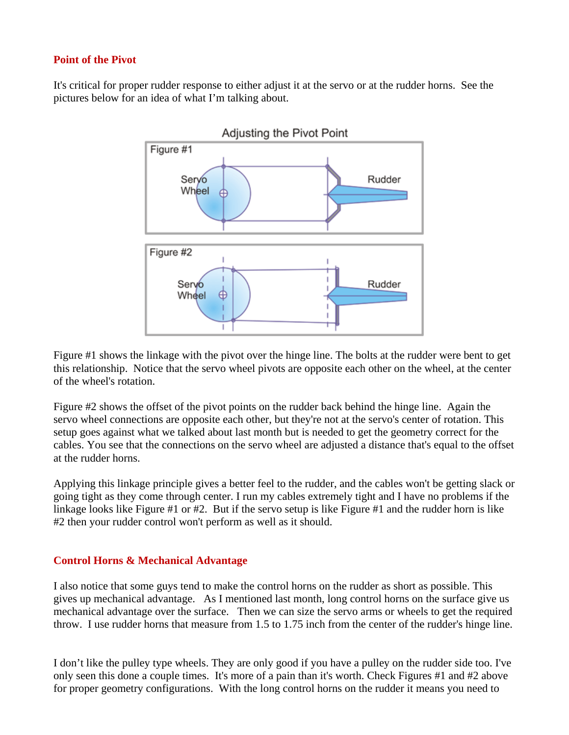### **Point of the Pivot**

It's critical for proper rudder response to either adjust it at the servo or at the rudder horns. See the pictures below for an idea of what I'm talking about.



Figure #1 shows the linkage with the pivot over the hinge line. The bolts at the rudder were bent to get this relationship. Notice that the servo wheel pivots are opposite each other on the wheel, at the center of the wheel's rotation.

Figure #2 shows the offset of the pivot points on the rudder back behind the hinge line. Again the servo wheel connections are opposite each other, but they're not at the servo's center of rotation. This setup goes against what we talked about last month but is needed to get the geometry correct for the cables. You see that the connections on the servo wheel are adjusted a distance that's equal to the offset at the rudder horns.

Applying this linkage principle gives a better feel to the rudder, and the cables won't be getting slack or going tight as they come through center. I run my cables extremely tight and I have no problems if the linkage looks like Figure #1 or #2. But if the servo setup is like Figure #1 and the rudder horn is like #2 then your rudder control won't perform as well as it should.

## **Control Horns & Mechanical Advantage**

I also notice that some guys tend to make the control horns on the rudder as short as possible. This gives up mechanical advantage. As I mentioned last month, long control horns on the surface give us mechanical advantage over the surface. Then we can size the servo arms or wheels to get the required throw. I use rudder horns that measure from 1.5 to 1.75 inch from the center of the rudder's hinge line.

I don't like the pulley type wheels. They are only good if you have a pulley on the rudder side too. I've only seen this done a couple times. It's more of a pain than it's worth. Check Figures #1 and #2 above for proper geometry configurations. With the long control horns on the rudder it means you need to